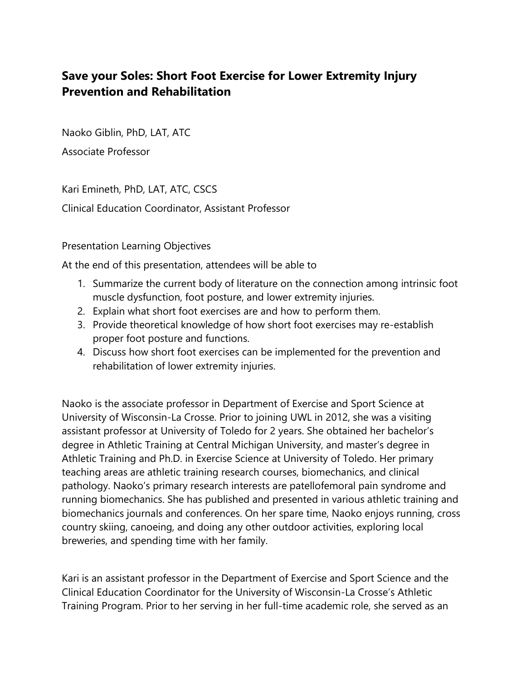## **Save your Soles: Short Foot Exercise for Lower Extremity Injury Prevention and Rehabilitation**

Naoko Giblin, PhD, LAT, ATC

Associate Professor

Kari Emineth, PhD, LAT, ATC, CSCS Clinical Education Coordinator, Assistant Professor

Presentation Learning Objectives

At the end of this presentation, attendees will be able to

- 1. Summarize the current body of literature on the connection among intrinsic foot muscle dysfunction, foot posture, and lower extremity injuries.
- 2. Explain what short foot exercises are and how to perform them.
- 3. Provide theoretical knowledge of how short foot exercises may re-establish proper foot posture and functions.
- 4. Discuss how short foot exercises can be implemented for the prevention and rehabilitation of lower extremity injuries.

Naoko is the associate professor in Department of Exercise and Sport Science at University of Wisconsin-La Crosse. Prior to joining UWL in 2012, she was a visiting assistant professor at University of Toledo for 2 years. She obtained her bachelor's degree in Athletic Training at Central Michigan University, and master's degree in Athletic Training and Ph.D. in Exercise Science at University of Toledo. Her primary teaching areas are athletic training research courses, biomechanics, and clinical pathology. Naoko's primary research interests are patellofemoral pain syndrome and running biomechanics. She has published and presented in various athletic training and biomechanics journals and conferences. On her spare time, Naoko enjoys running, cross country skiing, canoeing, and doing any other outdoor activities, exploring local breweries, and spending time with her family.

Kari is an assistant professor in the Department of Exercise and Sport Science and the Clinical Education Coordinator for the University of Wisconsin-La Crosse's Athletic Training Program. Prior to her serving in her full-time academic role, she served as an